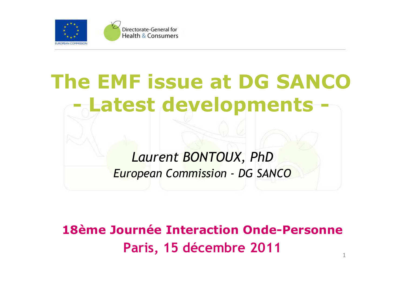

# **The EMF issue at DG SANCO Latest developments -**

*Laurent BONTOUX, PhDEuropean Commission - DG SANCO*

1**18ème Journée Interaction Onde-PersonneParis, 15 décembre 2011**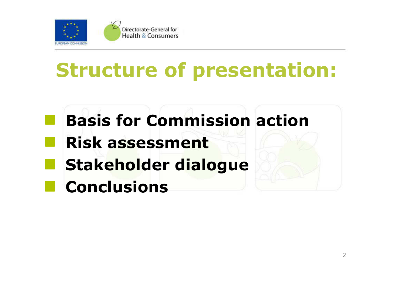

- **Basis for Commission actionRisk assessmentStakeholder dialogueA** 
	- **Conclusions**

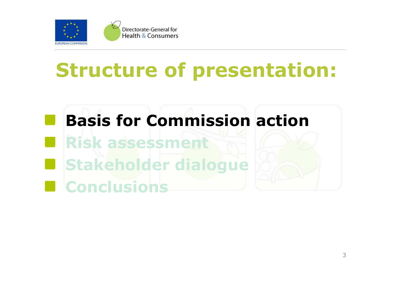

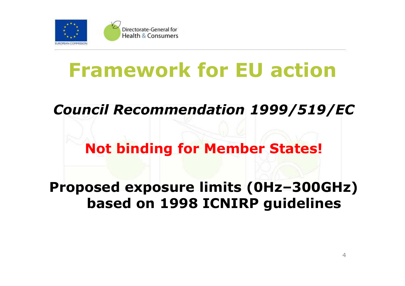

### **Framework for EU action**

*Council Recommendation 1999/519/EC*

#### **Not binding for Member States!**

**Proposed exposure limits (0Hz–300GHz) based on 1998 ICNIRP guidelines**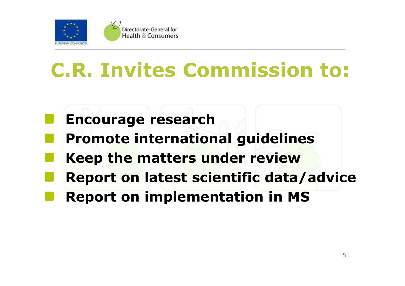

## **C.R. Invites Commission to:**

- **Encourage research**
- **Promote international guidelines**
- **Keep the matters under review**
- **Report on latest scientific data/advice**
- **Report on implementation in MS**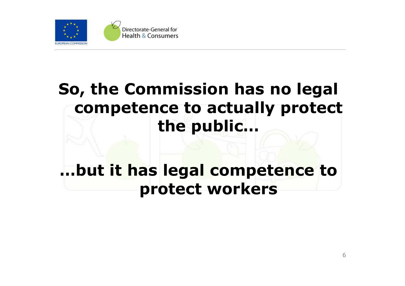

#### **So, the Commission has no legal competence to actually protect the public…**

#### **…but it has legal competence to protect workers**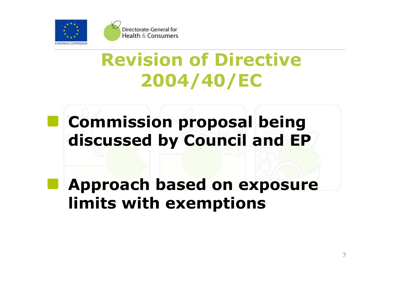

#### **Revision of Directive 2004/40/EC**

### **Commission proposal being discussed by Council and EP**

**Approach based on exposure limits with exemptions**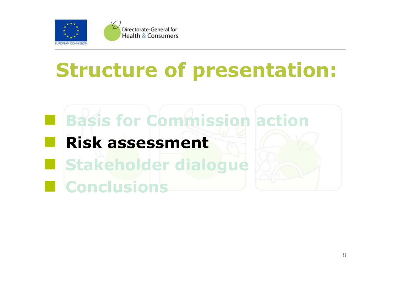

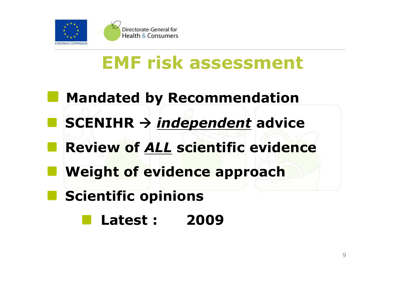

### **EMF risk assessment**

- **Mandated by Recommendation**
- **SCENIHR**  *independent* **advice**
- **Review of** *ALL* **scientific evidence**
- **Weight of evidence approach**
- **Scientific opinions** 
	- **Latest : <sup>2009</sup>**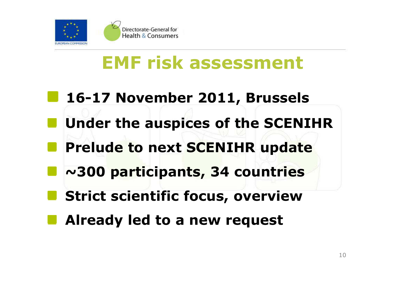

### **EMF risk assessment**

- **16-17 November 2011, Brussels**
- **Under the auspices of the SCENIHR**
- **Prelude to next SCENIHR update**
	- **~300 participants, 34 countries**
- **Strict scientific focus, overview**
- **Already led to a new request**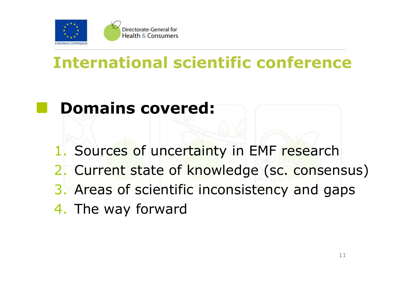

#### **International scientific conference**

- **Domains covered:**
- 1. Sources of uncertainty in EMF research
- 2. Current state of knowledge (sc. consensus)
- 3. Areas of scientific inconsistency and gaps
- 4. The way forward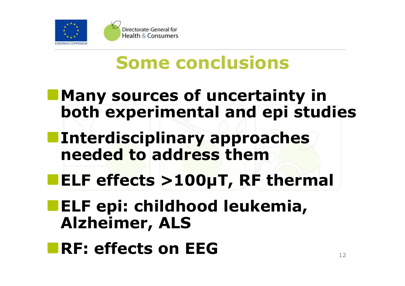

### **Some conclusions**

- **Many sources of uncertainty in both experimental and epi studies**
- **Interdisciplinary approaches needed to address them**
	- **ELF effects >100µT, RF thermal**
- **ELF epi: childhood leukemia, Alzheimer, ALS**
- **RF: effects on EEG**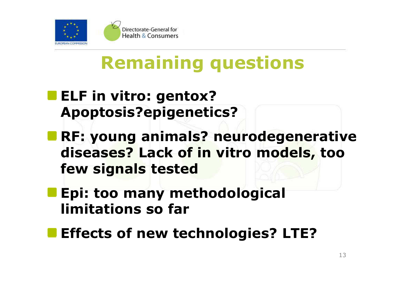

### **Remaining questions**

- **ELF in vitro: gentox? Apoptosis?epigenetics?**
- **RF: young animals? neurodegenerative diseases? Lack of in vitro models, too few signals tested**
- **Epi: too many methodological limitations so far**
- **Effects of new technologies? LTE?**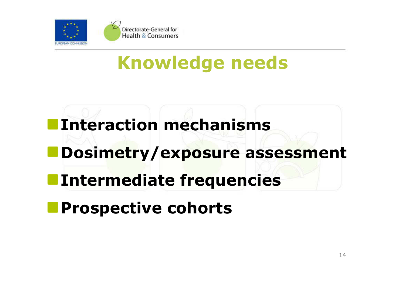

### **Knowledge needs**

- **Interaction mechanismsDosimetry/exposure assessmentIntermediate frequencies**
- **Prospective cohorts**þ.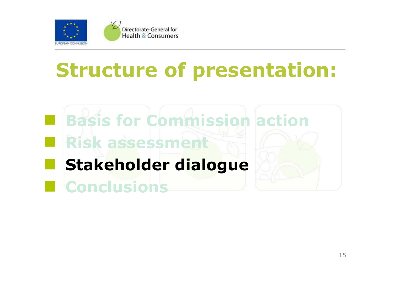

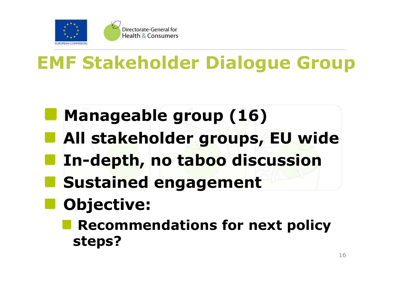

### **EMF Stakeholder Dialogue Group**

- **Manageable group (16)**
- **All stakeholder groups, EU wide**
	- **In-depth, no taboo discussion**
- **Sustained engagement**
	- **Objective:** 
		- **Recommendations for next policy steps?**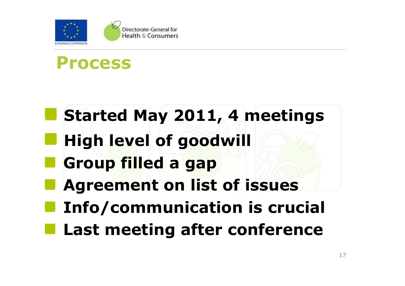

#### **Process**

## **Started May 2011, 4 meetings**

- **High level of goodwill**
- **Group filled a gap**
- **Agreement on list of issues**
- **Info/communication is crucial**
- **Last meeting after conference**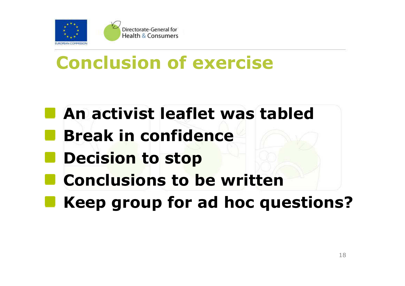

#### **Conclusion of exercise**

- **An activist leaflet was tabled**
	- **Break in confidence**
- **Decision to stop** 
	- **Conclusions to be written**
- **Keep group for ad hoc questions?**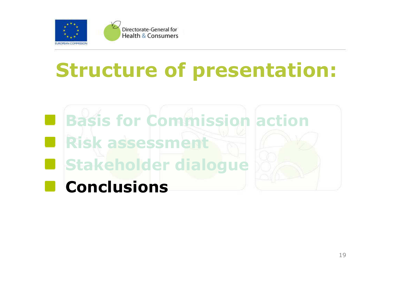

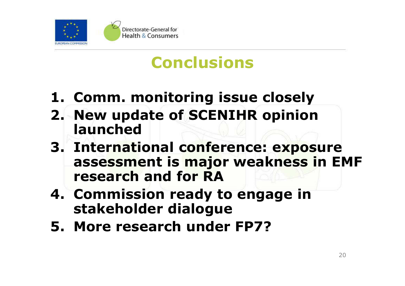

#### **Conclusions**

- **1. Comm. monitoring issue closely**
- **2. New update of SCENIHR opinion launched**
- **3. International conference: exposure assessment is major weakness in EMF research and for RA**
- **4. Commission ready to engage in stakeholder dialogue**
- **5. More research under FP7?**